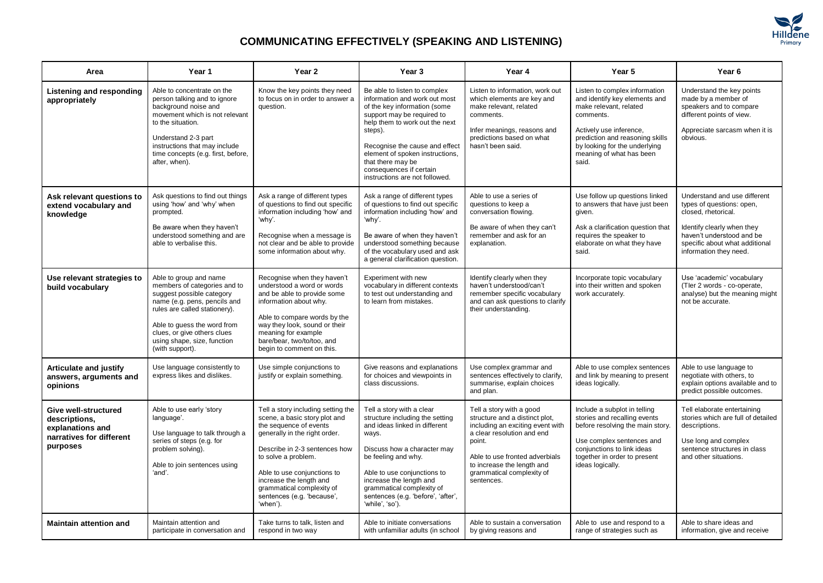

## **COMMUNICATING EFFECTIVELY (SPEAKING AND LISTENING)**

| Area                                                                                              | Year 1                                                                                                                                                                                                                                                               | Year 2                                                                                                                                                                                                                                                                                                                  | Year <sub>3</sub>                                                                                                                                                                                                                                                                                                               | Year 4                                                                                                                                                                                                                                            | Year 5                                                                                                                                                                                                                                    | Year <sub>6</sub>                                                                                                                                                                                       |
|---------------------------------------------------------------------------------------------------|----------------------------------------------------------------------------------------------------------------------------------------------------------------------------------------------------------------------------------------------------------------------|-------------------------------------------------------------------------------------------------------------------------------------------------------------------------------------------------------------------------------------------------------------------------------------------------------------------------|---------------------------------------------------------------------------------------------------------------------------------------------------------------------------------------------------------------------------------------------------------------------------------------------------------------------------------|---------------------------------------------------------------------------------------------------------------------------------------------------------------------------------------------------------------------------------------------------|-------------------------------------------------------------------------------------------------------------------------------------------------------------------------------------------------------------------------------------------|---------------------------------------------------------------------------------------------------------------------------------------------------------------------------------------------------------|
| Listening and responding<br>appropriately                                                         | Able to concentrate on the<br>person talking and to ignore<br>background noise and<br>movement which is not relevant<br>to the situation.<br>Understand 2-3 part<br>instructions that may include<br>time concepts (e.g. first, before,<br>after, when).             | Know the key points they need<br>to focus on in order to answer a<br>question.                                                                                                                                                                                                                                          | Be able to listen to complex<br>information and work out most<br>of the key information (some<br>support may be required to<br>help them to work out the next<br>steps).<br>Recognise the cause and effect<br>element of spoken instructions,<br>that there may be<br>consequences if certain<br>instructions are not followed. | Listen to information, work out<br>which elements are key and<br>make relevant, related<br>comments.<br>Infer meanings, reasons and<br>predictions based on what<br>hasn't been said.                                                             | Listen to complex information<br>and identify key elements and<br>make relevant, related<br>comments.<br>Actively use inference,<br>prediction and reasoning skills<br>by looking for the underlying<br>meaning of what has been<br>said. | Understand the key points<br>made by a member of<br>speakers and to compare<br>different points of view.<br>Appreciate sarcasm when it is<br>obvious.                                                   |
| Ask relevant questions to<br>extend vocabulary and<br>knowledge                                   | Ask questions to find out things<br>using 'how' and 'why' when<br>prompted.<br>Be aware when they haven't<br>understood something and are<br>able to verbalise this.                                                                                                 | Ask a range of different types<br>of questions to find out specific<br>information including 'how' and<br>'why'.<br>Recognise when a message is<br>not clear and be able to provide<br>some information about why.                                                                                                      | Ask a range of different types<br>of questions to find out specific<br>information including 'how' and<br>'why'.<br>Be aware of when they haven't<br>understood something because<br>of the vocabulary used and ask<br>a general clarification question.                                                                        | Able to use a series of<br>questions to keep a<br>conversation flowing.<br>Be aware of when they can't<br>remember and ask for an<br>explanation.                                                                                                 | Use follow up questions linked<br>to answers that have just been<br>given.<br>Ask a clarification question that<br>requires the speaker to<br>elaborate on what they have<br>said.                                                        | Understand and use different<br>types of questions: open,<br>closed, rhetorical.<br>Identify clearly when they<br>haven't understood and be<br>specific about what additional<br>information they need. |
| Use relevant strategies to<br>build vocabulary                                                    | Able to group and name<br>members of categories and to<br>suggest possible category<br>name (e.g. pens, pencils and<br>rules are called stationery).<br>Able to guess the word from<br>clues, or give others clues<br>using shape, size, function<br>(with support). | Recognise when they haven't<br>understood a word or words<br>and be able to provide some<br>information about why.<br>Able to compare words by the<br>way they look, sound or their<br>meaning for example<br>bare/bear, two/to/too, and<br>begin to comment on this.                                                   | Experiment with new<br>vocabulary in different contexts<br>to test out understanding and<br>to learn from mistakes.                                                                                                                                                                                                             | Identify clearly when they<br>haven't understood/can't<br>remember specific vocabulary<br>and can ask questions to clarify<br>their understanding.                                                                                                | Incorporate topic vocabulary<br>into their written and spoken<br>work accurately.                                                                                                                                                         | Use 'academic' vocabulary<br>(Tler 2 words - co-operate,<br>analyse) but the meaning might<br>not be accurate.                                                                                          |
| <b>Articulate and justify</b><br>answers, arguments and<br>opinions                               | Use language consistently to<br>express likes and dislikes.                                                                                                                                                                                                          | Use simple conjunctions to<br>justify or explain something.                                                                                                                                                                                                                                                             | Give reasons and explanations<br>for choices and viewpoints in<br>class discussions.                                                                                                                                                                                                                                            | Use complex grammar and<br>sentences effectively to clarify,<br>summarise, explain choices<br>and plan.                                                                                                                                           | Able to use complex sentences<br>and link by meaning to present<br>ideas logically.                                                                                                                                                       | Able to use language to<br>negotiate with others, to<br>explain options available and to<br>predict possible outcomes.                                                                                  |
| Give well-structured<br>descriptions,<br>explanations and<br>narratives for different<br>purposes | Able to use early 'story<br>language'.<br>Use language to talk through a<br>series of steps (e.g. for<br>problem solving).<br>Able to join sentences using<br>'and'.                                                                                                 | Tell a story including setting the<br>scene, a basic story plot and<br>the sequence of events<br>generally in the right order.<br>Describe in 2-3 sentences how<br>to solve a problem.<br>Able to use conjunctions to<br>increase the length and<br>grammatical complexity of<br>sentences (e.g. 'because',<br>'when'). | Tell a story with a clear<br>structure including the setting<br>and ideas linked in different<br>ways.<br>Discuss how a character may<br>be feeling and why.<br>Able to use conjunctions to<br>increase the length and<br>grammatical complexity of<br>sentences (e.g. 'before', 'after',<br>'while', 'so').                    | Tell a story with a good<br>structure and a distinct plot,<br>including an exciting event with<br>a clear resolution and end<br>point.<br>Able to use fronted adverbials<br>to increase the length and<br>grammatical complexity of<br>sentences. | Include a subplot in telling<br>stories and recalling events<br>before resolving the main story.<br>Use complex sentences and<br>conjunctions to link ideas<br>together in order to present<br>ideas logically.                           | Tell elaborate entertaining<br>stories which are full of detailed<br>descriptions.<br>Use long and complex<br>sentence structures in class<br>and other situations.                                     |
| <b>Maintain attention and</b>                                                                     | Maintain attention and<br>participate in conversation and                                                                                                                                                                                                            | Take turns to talk, listen and<br>respond in two way                                                                                                                                                                                                                                                                    | Able to initiate conversations<br>with unfamiliar adults (in school                                                                                                                                                                                                                                                             | Able to sustain a conversation<br>by giving reasons and                                                                                                                                                                                           | Able to use and respond to a<br>range of strategies such as                                                                                                                                                                               | Able to share ideas and<br>information, give and receive                                                                                                                                                |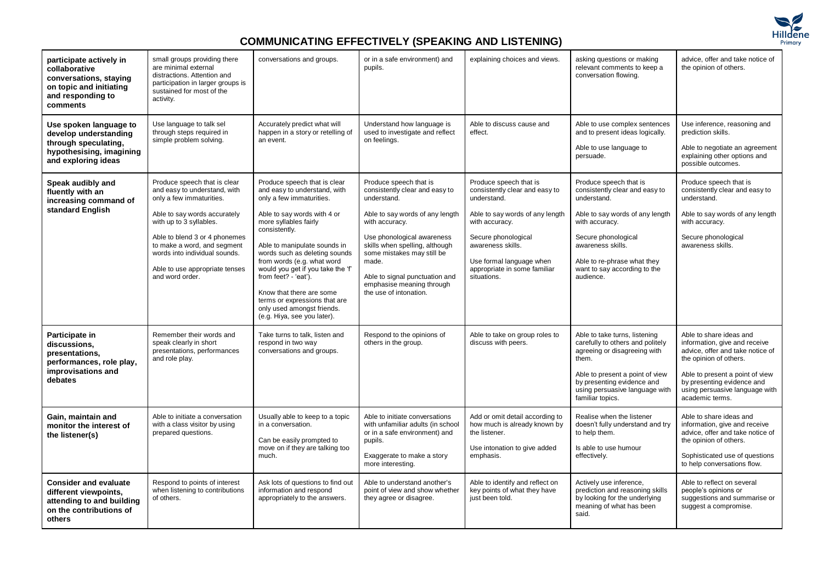

## **COMMUNICATING EFFECTIVELY (SPEAKING AND LISTENING)**

| participate actively in<br>collaborative<br>conversations, staying<br>on topic and initiating<br>and responding to<br>comments | small groups providing there<br>are minimal external<br>distractions. Attention and<br>participation in larger groups is<br>sustained for most of the<br>activity.                                                                                                                                        | conversations and groups.                                                                                                                                                                                                                                                                                                                                                                                                                               | or in a safe environment) and<br>pupils.                                                                                                                                                                                                                                                                                     | explaining choices and views.                                                                                                                                                                                                                       | asking questions or making<br>relevant comments to keep a<br>conversation flowing.                                                                                                                                                                   | advice, offer and take notice of<br>the opinion of others.                                                                                                                                                                                   |
|--------------------------------------------------------------------------------------------------------------------------------|-----------------------------------------------------------------------------------------------------------------------------------------------------------------------------------------------------------------------------------------------------------------------------------------------------------|---------------------------------------------------------------------------------------------------------------------------------------------------------------------------------------------------------------------------------------------------------------------------------------------------------------------------------------------------------------------------------------------------------------------------------------------------------|------------------------------------------------------------------------------------------------------------------------------------------------------------------------------------------------------------------------------------------------------------------------------------------------------------------------------|-----------------------------------------------------------------------------------------------------------------------------------------------------------------------------------------------------------------------------------------------------|------------------------------------------------------------------------------------------------------------------------------------------------------------------------------------------------------------------------------------------------------|----------------------------------------------------------------------------------------------------------------------------------------------------------------------------------------------------------------------------------------------|
| Use spoken language to<br>develop understanding<br>through speculating,<br>hypothesising, imagining<br>and exploring ideas     | Use language to talk sel<br>through steps required in<br>simple problem solving.                                                                                                                                                                                                                          | Accurately predict what will<br>happen in a story or retelling of<br>an event.                                                                                                                                                                                                                                                                                                                                                                          | Understand how language is<br>used to investigate and reflect<br>on feelings.                                                                                                                                                                                                                                                | Able to discuss cause and<br>effect.                                                                                                                                                                                                                | Able to use complex sentences<br>and to present ideas logically.<br>Able to use language to<br>persuade.                                                                                                                                             | Use inference, reasoning and<br>prediction skills.<br>Able to negotiate an agreement<br>explaining other options and<br>possible outcomes.                                                                                                   |
| Speak audibly and<br>fluently with an<br>increasing command of<br>standard English                                             | Produce speech that is clear<br>and easy to understand, with<br>only a few immaturities.<br>Able to say words accurately<br>with up to 3 syllables.<br>Able to blend 3 or 4 phonemes<br>to make a word, and segment<br>words into individual sounds.<br>Able to use appropriate tenses<br>and word order. | Produce speech that is clear<br>and easy to understand, with<br>only a few immaturities.<br>Able to say words with 4 or<br>more syllables fairly<br>consistently.<br>Able to manipulate sounds in<br>words such as deleting sounds<br>from words (e.g. what word<br>would you get if you take the 'f'<br>from feet? - 'eat').<br>Know that there are some<br>terms or expressions that are<br>only used amongst friends.<br>(e.g. Hiya, see you later). | Produce speech that is<br>consistently clear and easy to<br>understand.<br>Able to say words of any length<br>with accuracy.<br>Use phonological awareness<br>skills when spelling, although<br>some mistakes may still be<br>made.<br>Able to signal punctuation and<br>emphasise meaning through<br>the use of intonation. | Produce speech that is<br>consistently clear and easy to<br>understand.<br>Able to say words of any length<br>with accuracy.<br>Secure phonological<br>awareness skills.<br>Use formal language when<br>appropriate in some familiar<br>situations. | Produce speech that is<br>consistently clear and easy to<br>understand.<br>Able to say words of any length<br>with accuracy.<br>Secure phonological<br>awareness skills.<br>Able to re-phrase what they<br>want to say according to the<br>audience. | Produce speech that is<br>consistently clear and easy to<br>understand.<br>Able to say words of any length<br>with accuracy.<br>Secure phonological<br>awareness skills.                                                                     |
| Participate in<br>discussions,<br>presentations,<br>performances, role play,<br>improvisations and<br>debates                  | Remember their words and<br>speak clearly in short<br>presentations, performances<br>and role play.                                                                                                                                                                                                       | Take turns to talk, listen and<br>respond in two way<br>conversations and groups.                                                                                                                                                                                                                                                                                                                                                                       | Respond to the opinions of<br>others in the group.                                                                                                                                                                                                                                                                           | Able to take on group roles to<br>discuss with peers.                                                                                                                                                                                               | Able to take turns, listening<br>carefully to others and politely<br>agreeing or disagreeing with<br>them.<br>Able to present a point of view<br>by presenting evidence and<br>using persuasive language with<br>familiar topics.                    | Able to share ideas and<br>information, give and receive<br>advice, offer and take notice of<br>the opinion of others.<br>Able to present a point of view<br>by presenting evidence and<br>using persuasive language with<br>academic terms. |
| Gain, maintain and<br>monitor the interest of<br>the listener(s)                                                               | Able to initiate a conversation<br>with a class visitor by using<br>prepared questions.                                                                                                                                                                                                                   | Usually able to keep to a topic<br>in a conversation.<br>Can be easily prompted to<br>move on if they are talking too<br>much.                                                                                                                                                                                                                                                                                                                          | Able to initiate conversations<br>with unfamiliar adults (in school<br>or in a safe environment) and<br>pupils.<br>Exaggerate to make a story<br>more interesting.                                                                                                                                                           | Add or omit detail according to<br>how much is already known by<br>the listener.<br>Use intonation to give added<br>emphasis.                                                                                                                       | Realise when the listener<br>doesn't fully understand and try<br>to help them.<br>Is able to use humour<br>effectively.                                                                                                                              | Able to share ideas and<br>information, give and receive<br>advice, offer and take notice of<br>the opinion of others.<br>Sophisticated use of questions<br>to help conversations flow.                                                      |
| <b>Consider and evaluate</b><br>different viewpoints,<br>attending to and building<br>on the contributions of<br>others        | Respond to points of interest<br>when listening to contributions<br>of others.                                                                                                                                                                                                                            | Ask lots of questions to find out<br>information and respond<br>appropriately to the answers.                                                                                                                                                                                                                                                                                                                                                           | Able to understand another's<br>point of view and show whether<br>they agree or disagree.                                                                                                                                                                                                                                    | Able to identify and reflect on<br>key points of what they have<br>just been told.                                                                                                                                                                  | Actively use inference,<br>prediction and reasoning skills<br>by looking for the underlying<br>meaning of what has been<br>said.                                                                                                                     | Able to reflect on several<br>people's opinions or<br>suggestions and summarise or<br>suggest a compromise.                                                                                                                                  |